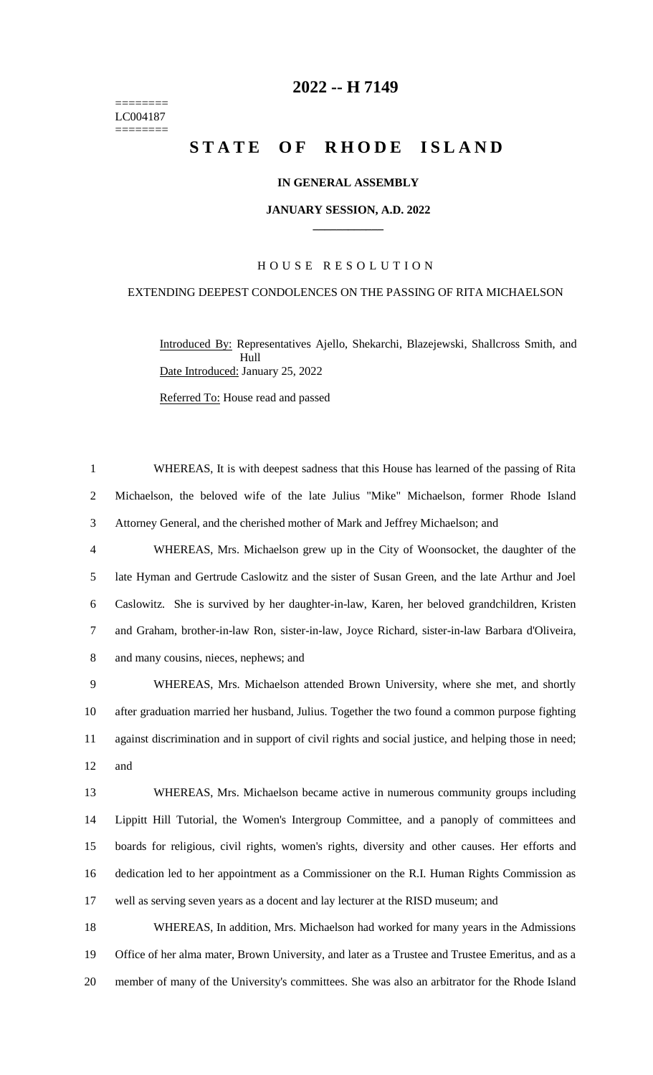======== LC004187 ========

## **-- H 7149**

# **STATE OF RHODE ISLAND**

## **IN GENERAL ASSEMBLY**

#### **JANUARY SESSION, A.D. 2022 \_\_\_\_\_\_\_\_\_\_\_\_**

## H O U S E R E S O L U T I O N

### EXTENDING DEEPEST CONDOLENCES ON THE PASSING OF RITA MICHAELSON

Introduced By: Representatives Ajello, Shekarchi, Blazejewski, Shallcross Smith, and Hull Date Introduced: January 25, 2022

Referred To: House read and passed

 WHEREAS, It is with deepest sadness that this House has learned of the passing of Rita Michaelson, the beloved wife of the late Julius "Mike" Michaelson, former Rhode Island Attorney General, and the cherished mother of Mark and Jeffrey Michaelson; and

 WHEREAS, Mrs. Michaelson grew up in the City of Woonsocket, the daughter of the late Hyman and Gertrude Caslowitz and the sister of Susan Green, and the late Arthur and Joel Caslowitz. She is survived by her daughter-in-law, Karen, her beloved grandchildren, Kristen and Graham, brother-in-law Ron, sister-in-law, Joyce Richard, sister-in-law Barbara d'Oliveira, and many cousins, nieces, nephews; and

 WHEREAS, Mrs. Michaelson attended Brown University, where she met, and shortly after graduation married her husband, Julius. Together the two found a common purpose fighting against discrimination and in support of civil rights and social justice, and helping those in need; and

 WHEREAS, Mrs. Michaelson became active in numerous community groups including Lippitt Hill Tutorial, the Women's Intergroup Committee, and a panoply of committees and boards for religious, civil rights, women's rights, diversity and other causes. Her efforts and dedication led to her appointment as a Commissioner on the R.I. Human Rights Commission as well as serving seven years as a docent and lay lecturer at the RISD museum; and

 WHEREAS, In addition, Mrs. Michaelson had worked for many years in the Admissions Office of her alma mater, Brown University, and later as a Trustee and Trustee Emeritus, and as a member of many of the University's committees. She was also an arbitrator for the Rhode Island